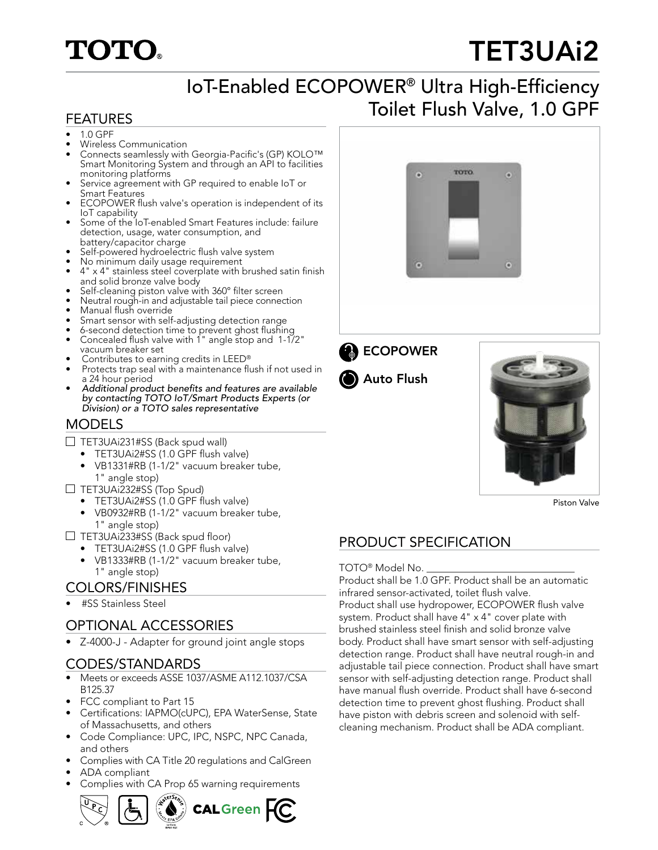## **TOTO.**

# TET3UAi2

## IoT-Enabled ECOPOWER® Ultra High-Efficiency FEATURES **FEATURES**

- 1.0 GPF • Wireless Communication
- Connects seamlessly with Georgia-Pacific's (GP) KOLO™ Smart Monitoring System and through an API to facilities monitoring platforms
- Service agreement with GP required to enable IoT or Smart Features
- ECOPOWER flush valve's operation is independent of its IoT capability
- Some of the IoT-enabled Smart Features include: failure detection, usage, water consumption, and battery/capacitor charge
- Self-powered hydroelectric flush valve system
- No minimum daily usage requirement
- 4" x 4" stainless steel coverplate with brushed satin finish and solid bronze valve body
- Self-cleaning piston valve with 360° filter screen
- Neutral rough-in and adjustable tail piece connection • Manual flush override
- Smart sensor with self-adjusting detection range
- 6-second detection time to prevent ghost flushing
- Concealed flush valve with 1" angle stop and 1-1/2" vacuum breaker set
- Contributes to earning credits in LEED®
- Protects trap seal with a maintenance flush if not used in a 24 hour period
- Additional product benefits and features are available by contacting TOTO IoT/Smart Products Experts (or Division) or a TOTO sales representative

#### MODELS

- $\Box$  TET3UAi231#SS (Back spud wall)
	- TET3UAi2#SS (1.0 GPF flush valve)
	- VB1331#RB (1-1/2" vacuum breaker tube, 1" angle stop)
- $\Box$  TET3UAi232#SS (Top Spud)
	- TET3UAi2#SS (1.0 GPF flush valve)
	- VB0932#RB (1-1/2" vacuum breaker tube, 1" angle stop)
- $\Box$  TET3UAi233#SS (Back spud floor)
	- TET3UAi2#SS (1.0 GPF flush valve)
	- VB1333#RB (1-1/2" vacuum breaker tube,

#### COLORS/FINISHES

• #SS Stainless Steel

### OPTIONAL ACCESSORIES

• Z-4000-J - Adapter for ground joint angle stops

#### CODES/STANDARDS

- Meets or exceeds ASSE 1037/ASME A112.1037/CSA B125.37
- FCC compliant to Part 15
- Certifications: IAPMO(cUPC), EPA WaterSense, State of Massachusetts, and others
- Code Compliance: UPC, IPC, NSPC, NPC Canada, and others
- Complies with CA Title 20 regulations and CalGreen
- ADA compliant
- Complies with CA Prop 65 warning requirements









Piston Valve

### PRODUCT SPECIFICATION

1" angle stop) TOTO® Model No. \_\_\_\_\_\_\_\_\_\_\_\_\_\_\_\_\_\_\_\_\_\_\_\_\_\_\_\_\_ Product shall be 1.0 GPF. Product shall be an automatic infrared sensor-activated, toilet flush valve. Product shall use hydropower, ECOPOWER flush valve system. Product shall have 4" x 4" cover plate with brushed stainless steel finish and solid bronze valve body. Product shall have smart sensor with self-adjusting detection range. Product shall have neutral rough-in and adjustable tail piece connection. Product shall have smart sensor with self-adjusting detection range. Product shall have manual flush override. Product shall have 6-second detection time to prevent ghost flushing. Product shall have piston with debris screen and solenoid with selfcleaning mechanism. Product shall be ADA compliant.